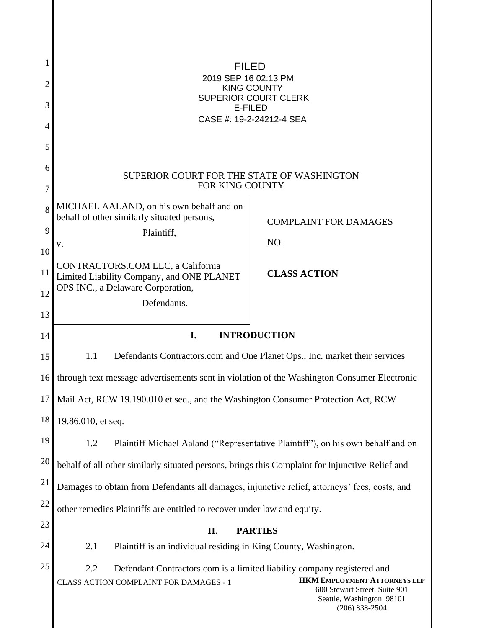| 1  |                                                                                                                                                                                                                                                     |                                                                                 |
|----|-----------------------------------------------------------------------------------------------------------------------------------------------------------------------------------------------------------------------------------------------------|---------------------------------------------------------------------------------|
| 2  | GEFJÁJÓÚÁFÍ ÁEGHFHÁJT<br><b>SOPÕÁÔUWÞVÝ</b>                                                                                                                                                                                                         |                                                                                 |
| 3  | ÙWÚÒÜQUÜÁÔUWÜVÁÔŠÒÜS<br>ÒËZŠÒÖ                                                                                                                                                                                                                      |                                                                                 |
| 4  | ÔŒLÌÒÁN AFJËGËGIGFGËI Á LÌÒŒ                                                                                                                                                                                                                        |                                                                                 |
| 5  |                                                                                                                                                                                                                                                     |                                                                                 |
| 6  |                                                                                                                                                                                                                                                     |                                                                                 |
| 7  | SUPERIOR COURT FOR THE STATE OF WASHINGTON<br>FOR KING COUNTY                                                                                                                                                                                       |                                                                                 |
| 8  | MICHAEL AALAND, on his own behalf and on<br>behalf of other similarly situated persons,                                                                                                                                                             | <b>COMPLAINT FOR DAMAGES</b>                                                    |
| 9  | Plaintiff,                                                                                                                                                                                                                                          |                                                                                 |
| 10 | V.                                                                                                                                                                                                                                                  | NO.                                                                             |
| 11 | CONTRACTORS.COM LLC, a California<br>Limited Liability Company, and ONE PLANET                                                                                                                                                                      | <b>CLASS ACTION</b>                                                             |
| 12 | OPS INC., a Delaware Corporation,<br>Defendants.                                                                                                                                                                                                    |                                                                                 |
| 13 |                                                                                                                                                                                                                                                     |                                                                                 |
| 14 | I.<br><b>INTRODUCTION</b>                                                                                                                                                                                                                           |                                                                                 |
| 15 | 1.1<br>Defendants Contractors.com and One Planet Ops., Inc. market their services                                                                                                                                                                   |                                                                                 |
| 16 | through text message advertisements sent in violation of the Washington Consumer Electronic                                                                                                                                                         |                                                                                 |
| 17 | Mail Act, RCW 19.190.010 et seq., and the Washington Consumer Protection Act, RCW                                                                                                                                                                   |                                                                                 |
| 18 | 19.86.010, et seq.                                                                                                                                                                                                                                  |                                                                                 |
| 19 | 1.2                                                                                                                                                                                                                                                 | Plaintiff Michael Aaland ("Representative Plaintiff"), on his own behalf and on |
| 20 | behalf of all other similarly situated persons, brings this Complaint for Injunctive Relief and                                                                                                                                                     |                                                                                 |
| 21 | Damages to obtain from Defendants all damages, injunctive relief, attorneys' fees, costs, and                                                                                                                                                       |                                                                                 |
| 22 | other remedies Plaintiffs are entitled to recover under law and equity.                                                                                                                                                                             |                                                                                 |
| 23 | II.<br><b>PARTIES</b>                                                                                                                                                                                                                               |                                                                                 |
| 24 | 2.1<br>Plaintiff is an individual residing in King County, Washington.                                                                                                                                                                              |                                                                                 |
| 25 | 2.2<br>Defendant Contractors.com is a limited liability company registered and<br><b>HKM EMPLOYMENT ATTORNEYS LLP</b><br>CLASS ACTION COMPLAINT FOR DAMAGES - 1<br>600 Stewart Street, Suite 901<br>Seattle, Washington 98101<br>$(206) 838 - 2504$ |                                                                                 |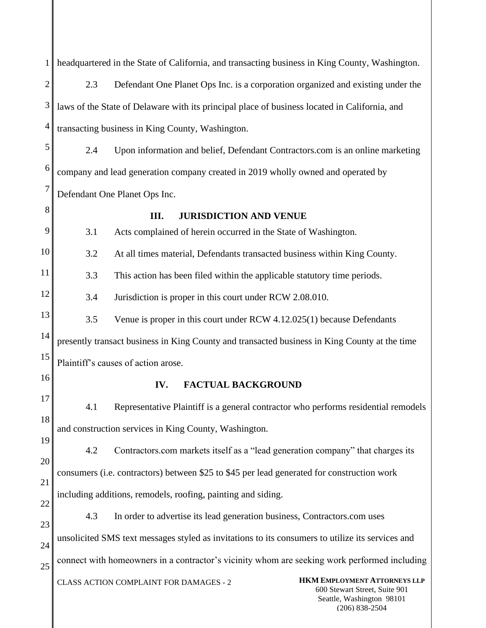CLASS ACTION COMPLAINT FOR DAMAGES - 2 **HKM EMPLOYMENT ATTORNEYS LLP** 600 Stewart Street, Suite 901 Seattle, Washington 98101 (206) 838-2504 1 2 3 4 5 6 7 8 9 10 11 12 13 14 15 16 17 18 19 20 21 22 23 24 25 headquartered in the State of California, and transacting business in King County, Washington. 2.3 Defendant One Planet Ops Inc. is a corporation organized and existing under the laws of the State of Delaware with its principal place of business located in California, and transacting business in King County, Washington. 2.4 Upon information and belief, Defendant Contractors.com is an online marketing company and lead generation company created in 2019 wholly owned and operated by Defendant One Planet Ops Inc. **III. JURISDICTION AND VENUE** 3.1 Acts complained of herein occurred in the State of Washington. 3.2 At all times material, Defendants transacted business within King County. 3.3 This action has been filed within the applicable statutory time periods. 3.4 Jurisdiction is proper in this court under RCW 2.08.010. 3.5 Venue is proper in this court under RCW 4.12.025(1) because Defendants presently transact business in King County and transacted business in King County at the time Plaintiff's causes of action arose. **IV. FACTUAL BACKGROUND** 4.1 Representative Plaintiff is a general contractor who performs residential remodels and construction services in King County, Washington. 4.2 Contractors.com markets itself as a "lead generation company" that charges its consumers (i.e. contractors) between \$25 to \$45 per lead generated for construction work including additions, remodels, roofing, painting and siding. 4.3 In order to advertise its lead generation business, Contractors.com uses unsolicited SMS text messages styled as invitations to its consumers to utilize its services and connect with homeowners in a contractor's vicinity whom are seeking work performed including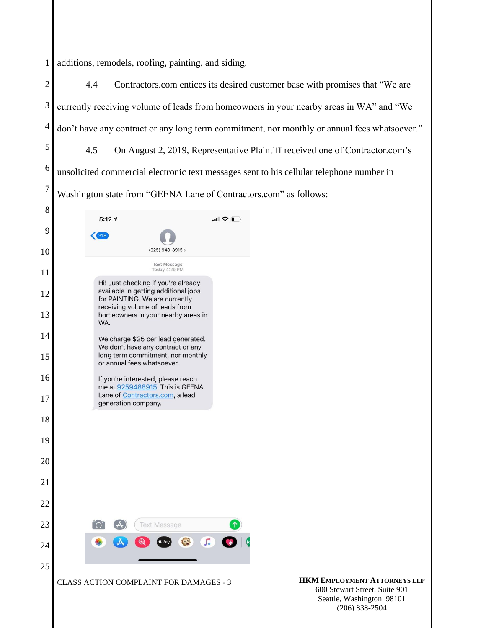1 additions, remodels, roofing, painting, and siding.

2 3 4 5 6 7 4.4 Contractors.com entices its desired customer base with promises that "We are currently receiving volume of leads from homeowners in your nearby areas in WA" and "We don't have any contract or any long term commitment, nor monthly or annual fees whatsoever." 4.5 On August 2, 2019, Representative Plaintiff received one of Contractor.com's unsolicited commercial electronic text messages sent to his cellular telephone number in Washington state from "GEENA Lane of Contractors.com" as follows:

8  $5:127$  $\blacksquare$   $\epsilon$   $\blacksquare$ 9  $(925)$  948-8915 > 10 Text Message<br>Today 4:29 PM 11 Hi! Just checking if you're already available in getting additional jobs 12 for PAINTING. We are currently receiving volume of leads from 13 homeowners in your nearby areas in WA. 14 We charge \$25 per lead generated. We don't have any contract or any long term commitment, nor monthly 15 or annual fees whatsoever. 16 If you're interested, please reach me at 9259488915. This is GEENA Lane of Contractors.com, a lead 17 generation company. 18 19 20 21 22 23 **Text Message** J. 24 25 CLASS ACTION COMPLAINT FOR DAMAGES - 3 **HKM EMPLOYMENT ATTORNEYS LLP**

600 Stewart Street, Suite 901 Seattle, Washington 98101 (206) 838-2504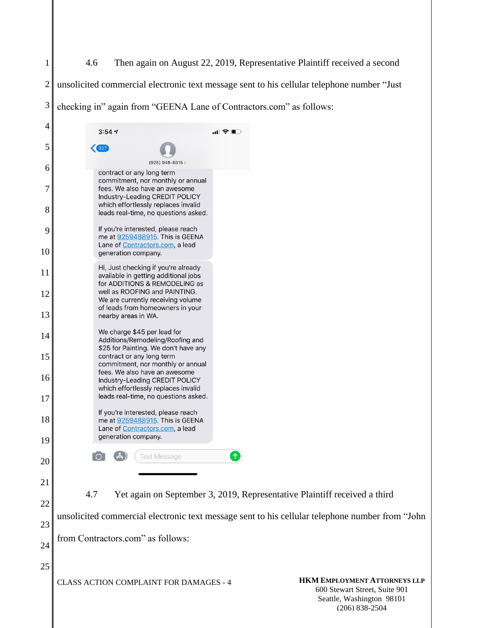## 4.6 Then again on August 22, 2019, Representative Plaintiff received a second

 unsolicited commercial electronic text message sent to his cellular telephone number "Just

 checking in" again from "GEENA Lane of Contractors.com" as follows:

| 4        |                                                                                                                                                |     |                                                                                                                       |
|----------|------------------------------------------------------------------------------------------------------------------------------------------------|-----|-----------------------------------------------------------------------------------------------------------------------|
|          | 3:547                                                                                                                                          | ‴ ™ |                                                                                                                       |
| 5        | $\left($ 327<br>(925) 948-8915 >                                                                                                               |     |                                                                                                                       |
| 6        | contract or any long term<br>commitment, nor monthly or annual                                                                                 |     |                                                                                                                       |
| 7<br>8   | fees. We also have an awesome<br>Industry-Leading CREDIT POLICY<br>which effortlessly replaces invalid<br>leads real-time, no questions asked. |     |                                                                                                                       |
| 9        | If you're interested, please reach<br>me at 9259488915. This is GEENA                                                                          |     |                                                                                                                       |
| 10       | Lane of Contractors.com, a lead<br>generation company.                                                                                         |     |                                                                                                                       |
| 11       | Hi, Just checking if you're already<br>available in getting additional jobs<br>for ADDITIONS & REMODELING as                                   |     |                                                                                                                       |
| 12<br>13 | well as ROOFING and PAINTING.<br>We are currently receiving volume<br>of leads from homeowners in your                                         |     |                                                                                                                       |
| 14       | nearby areas in WA.<br>We charge \$45 per lead for                                                                                             |     |                                                                                                                       |
| 15       | Additions/Remodeling/Roofing and<br>\$25 for Painting. We don't have any<br>contract or any long term                                          |     |                                                                                                                       |
| 16       | commitment, nor monthly or annual<br>fees. We also have an awesome<br>Industry-Leading CREDIT POLICY<br>which effortlessly replaces invalid    |     |                                                                                                                       |
| 17       | leads real-time, no questions asked.                                                                                                           |     |                                                                                                                       |
| 18       | If you're interested, please reach<br>me at 9259488915. This is GEENA<br>Lane of Contractors.com, a lead<br>generation company.                |     |                                                                                                                       |
| 19       |                                                                                                                                                |     |                                                                                                                       |
| 20       | <b>Text Message</b>                                                                                                                            | ↑   |                                                                                                                       |
| 21       |                                                                                                                                                |     |                                                                                                                       |
| 22       | 4.7                                                                                                                                            |     | Yet again on September 3, 2019, Representative Plaintiff received a third                                             |
| 23       | unsolicited commercial electronic text message sent to his cellular telephone number from "John                                                |     |                                                                                                                       |
| 24       | from Contractors.com" as follows:                                                                                                              |     |                                                                                                                       |
| 25       |                                                                                                                                                |     |                                                                                                                       |
|          | CLASS ACTION COMPLAINT FOR DAMAGES - 4                                                                                                         |     | <b>HKM EMPLOYMENT ATTORNEYS LLP</b><br>600 Stewart Street, Suite 901<br>Seattle, Washington 98101<br>$(206)$ 838-2504 |
|          |                                                                                                                                                |     |                                                                                                                       |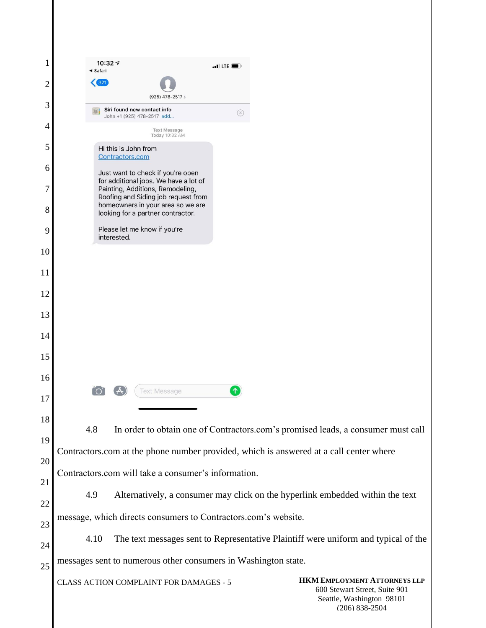| 1              | 10:32 $\tau$<br>$\blacksquare$ LTE $\blacksquare$<br>◀ Safari                                                                                              |  |
|----------------|------------------------------------------------------------------------------------------------------------------------------------------------------------|--|
| $\overline{2}$ | 321                                                                                                                                                        |  |
| 3              | (925) 478-2517 ><br>Siri found new contact info<br>$\circledR$                                                                                             |  |
| 4              | John +1 (925) 478-2517 add<br><b>Text Message</b><br>Today 10:32 AM                                                                                        |  |
| 5              | Hi this is John from<br>Contractors.com                                                                                                                    |  |
| 6              | Just want to check if you're open                                                                                                                          |  |
| 7              | for additional jobs. We have a lot of<br>Painting, Additions, Remodeling,<br>Roofing and Siding job request from<br>homeowners in your area so we are      |  |
| 8              | looking for a partner contractor.                                                                                                                          |  |
| 9              | Please let me know if you're<br>interested.                                                                                                                |  |
| 10             |                                                                                                                                                            |  |
| 11             |                                                                                                                                                            |  |
| 12             |                                                                                                                                                            |  |
| 13             |                                                                                                                                                            |  |
| 14             |                                                                                                                                                            |  |
| 15             |                                                                                                                                                            |  |
| 16             | 个<br><b>Text Message</b>                                                                                                                                   |  |
| 17             |                                                                                                                                                            |  |
| 18             | 4.8<br>In order to obtain one of Contractors.com's promised leads, a consumer must call                                                                    |  |
| 19             | Contractors.com at the phone number provided, which is answered at a call center where                                                                     |  |
| 20             |                                                                                                                                                            |  |
| 21             | Contractors.com will take a consumer's information.                                                                                                        |  |
| 22             | 4.9<br>Alternatively, a consumer may click on the hyperlink embedded within the text                                                                       |  |
| 23             | message, which directs consumers to Contractors.com's website.                                                                                             |  |
| 24             | The text messages sent to Representative Plaintiff were uniform and typical of the<br>4.10                                                                 |  |
| 25             | messages sent to numerous other consumers in Washington state.                                                                                             |  |
|                | HKM EMPLOYMENT ATTORNEYS LLP<br>CLASS ACTION COMPLAINT FOR DAMAGES - 5<br>600 Stewart Street, Suite 901<br>Seattle, Washington 98101<br>$(206) 838 - 2504$ |  |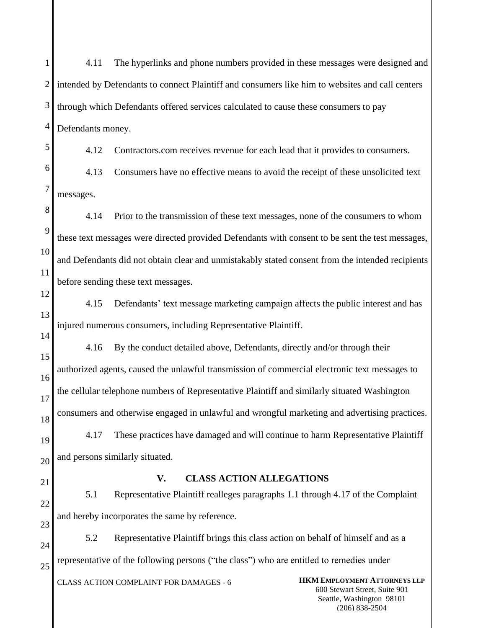1 2 3 4 5 4.11 The hyperlinks and phone numbers provided in these messages were designed and intended by Defendants to connect Plaintiff and consumers like him to websites and call centers through which Defendants offered services calculated to cause these consumers to pay Defendants money. 4.12 Contractors.com receives revenue for each lead that it provides to consumers.

6 7 4.13 Consumers have no effective means to avoid the receipt of these unsolicited text messages.

8  $\overline{Q}$ 10 11 4.14 Prior to the transmission of these text messages, none of the consumers to whom these text messages were directed provided Defendants with consent to be sent the test messages, and Defendants did not obtain clear and unmistakably stated consent from the intended recipients before sending these text messages.

13 4.15 Defendants' text message marketing campaign affects the public interest and has injured numerous consumers, including Representative Plaintiff.

15 16 17 18 19 20 4.16 By the conduct detailed above, Defendants, directly and/or through their authorized agents, caused the unlawful transmission of commercial electronic text messages to the cellular telephone numbers of Representative Plaintiff and similarly situated Washington consumers and otherwise engaged in unlawful and wrongful marketing and advertising practices. 4.17 These practices have damaged and will continue to harm Representative Plaintiff and persons similarly situated.

21

12

14

## **V. CLASS ACTION ALLEGATIONS**

22 23 5.1 Representative Plaintiff realleges paragraphs 1.1 through 4.17 of the Complaint and hereby incorporates the same by reference.

24 25 5.2 Representative Plaintiff brings this class action on behalf of himself and as a representative of the following persons ("the class") who are entitled to remedies under

CLASS ACTION COMPLAINT FOR DAMAGES - 6 **HKM EMPLOYMENT ATTORNEYS LLP**

600 Stewart Street, Suite 901 Seattle, Washington 98101 (206) 838-2504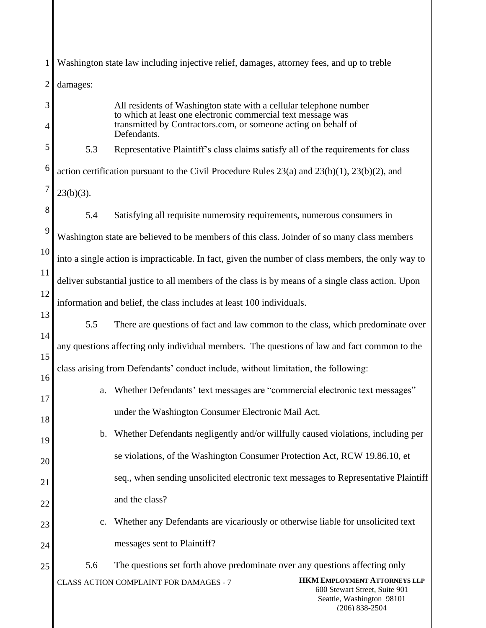|          |                                                                                                      | Washington state law including injective relief, damages, attorney fees, and up to treble                                                                                                                           |
|----------|------------------------------------------------------------------------------------------------------|---------------------------------------------------------------------------------------------------------------------------------------------------------------------------------------------------------------------|
| 2        | damages:                                                                                             |                                                                                                                                                                                                                     |
| 3<br>4   |                                                                                                      | All residents of Washington state with a cellular telephone number<br>to which at least one electronic commercial text message was<br>transmitted by Contractors.com, or someone acting on behalf of<br>Defendants. |
| 5        | 5.3                                                                                                  | Representative Plaintiff's class claims satisfy all of the requirements for class                                                                                                                                   |
| 6        | action certification pursuant to the Civil Procedure Rules $23(a)$ and $23(b)(1)$ , $23(b)(2)$ , and |                                                                                                                                                                                                                     |
| 7        | $23(b)(3)$ .                                                                                         |                                                                                                                                                                                                                     |
| 8        | 5.4                                                                                                  | Satisfying all requisite numerosity requirements, numerous consumers in                                                                                                                                             |
| 9        |                                                                                                      | Washington state are believed to be members of this class. Joinder of so many class members                                                                                                                         |
| 10       | into a single action is impracticable. In fact, given the number of class members, the only way to   |                                                                                                                                                                                                                     |
| 11       | deliver substantial justice to all members of the class is by means of a single class action. Upon   |                                                                                                                                                                                                                     |
| 12       | information and belief, the class includes at least 100 individuals.                                 |                                                                                                                                                                                                                     |
| 13       | 5.5                                                                                                  | There are questions of fact and law common to the class, which predominate over                                                                                                                                     |
| 14       |                                                                                                      | any questions affecting only individual members. The questions of law and fact common to the                                                                                                                        |
| 15       |                                                                                                      | class arising from Defendants' conduct include, without limitation, the following:                                                                                                                                  |
| 16<br>17 | a.                                                                                                   | Whether Defendants' text messages are "commercial electronic text messages"                                                                                                                                         |
| 18       |                                                                                                      | under the Washington Consumer Electronic Mail Act.                                                                                                                                                                  |
| 19       | b.                                                                                                   | Whether Defendants negligently and/or willfully caused violations, including per                                                                                                                                    |
| 20       |                                                                                                      | se violations, of the Washington Consumer Protection Act, RCW 19.86.10, et                                                                                                                                          |
| 21       |                                                                                                      | seq., when sending unsolicited electronic text messages to Representative Plaintiff                                                                                                                                 |
| 22       |                                                                                                      | and the class?                                                                                                                                                                                                      |
| 23       | $C_{\bullet}$                                                                                        | Whether any Defendants are vicariously or otherwise liable for unsolicited text                                                                                                                                     |
| 24       |                                                                                                      | messages sent to Plaintiff?                                                                                                                                                                                         |
| 25       | 5.6                                                                                                  | The questions set forth above predominate over any questions affecting only                                                                                                                                         |
|          |                                                                                                      | <b>HKM EMPLOYMENT ATTORNEYS LLP</b><br>CLASS ACTION COMPLAINT FOR DAMAGES - 7<br>600 Stewart Street, Suite 901<br>Seattle, Washington 98101<br>$(206) 838 - 2504$                                                   |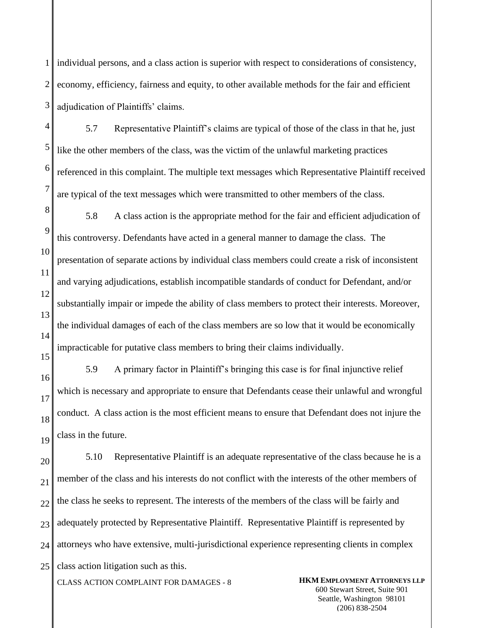1 2 3 individual persons, and a class action is superior with respect to considerations of consistency, economy, efficiency, fairness and equity, to other available methods for the fair and efficient adjudication of Plaintiffs' claims.

4 5 6 7 5.7 Representative Plaintiff's claims are typical of those of the class in that he, just like the other members of the class, was the victim of the unlawful marketing practices referenced in this complaint. The multiple text messages which Representative Plaintiff received are typical of the text messages which were transmitted to other members of the class.

8  $\overline{Q}$ 5.8 A class action is the appropriate method for the fair and efficient adjudication of this controversy. Defendants have acted in a general manner to damage the class. The presentation of separate actions by individual class members could create a risk of inconsistent and varying adjudications, establish incompatible standards of conduct for Defendant, and/or substantially impair or impede the ability of class members to protect their interests. Moreover, the individual damages of each of the class members are so low that it would be economically impracticable for putative class members to bring their claims individually.

5.9 A primary factor in Plaintiff's bringing this case is for final injunctive relief which is necessary and appropriate to ensure that Defendants cease their unlawful and wrongful conduct. A class action is the most efficient means to ensure that Defendant does not injure the class in the future.

20 21 22 23 24 25 5.10 Representative Plaintiff is an adequate representative of the class because he is a member of the class and his interests do not conflict with the interests of the other members of the class he seeks to represent. The interests of the members of the class will be fairly and adequately protected by Representative Plaintiff. Representative Plaintiff is represented by attorneys who have extensive, multi-jurisdictional experience representing clients in complex class action litigation such as this.

CLASS ACTION COMPLAINT FOR DAMAGES - 8 **HKM EMPLOYMENT ATTORNEYS LLP**

600 Stewart Street, Suite 901 Seattle, Washington 98101 (206) 838-2504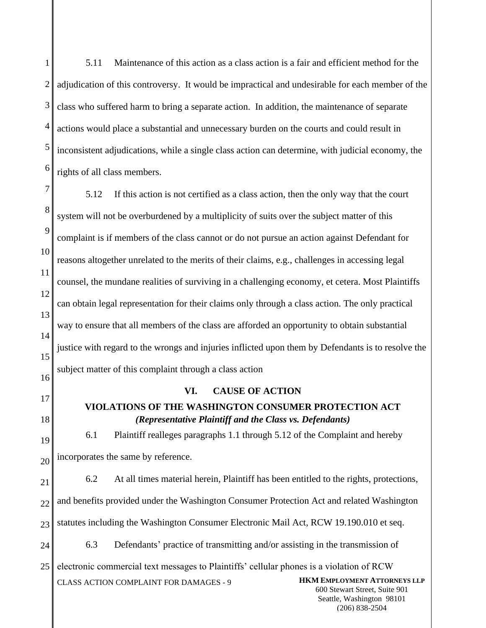1 2 3 4 5 6 7 5.11 Maintenance of this action as a class action is a fair and efficient method for the adjudication of this controversy. It would be impractical and undesirable for each member of the class who suffered harm to bring a separate action. In addition, the maintenance of separate actions would place a substantial and unnecessary burden on the courts and could result in inconsistent adjudications, while a single class action can determine, with judicial economy, the rights of all class members.

8  $\mathbf Q$ 10 11 12 13 14 15 16 5.12 If this action is not certified as a class action, then the only way that the court system will not be overburdened by a multiplicity of suits over the subject matter of this complaint is if members of the class cannot or do not pursue an action against Defendant for reasons altogether unrelated to the merits of their claims, e.g., challenges in accessing legal counsel, the mundane realities of surviving in a challenging economy, et cetera. Most Plaintiffs can obtain legal representation for their claims only through a class action. The only practical way to ensure that all members of the class are afforded an opportunity to obtain substantial justice with regard to the wrongs and injuries inflicted upon them by Defendants is to resolve the subject matter of this complaint through a class action

17

18

**VI. CAUSE OF ACTION**

## **VIOLATIONS OF THE WASHINGTON CONSUMER PROTECTION ACT** *(Representative Plaintiff and the Class vs. Defendants)*

19 20 6.1 Plaintiff realleges paragraphs 1.1 through 5.12 of the Complaint and hereby incorporates the same by reference.

21 22 23 24 6.2 At all times material herein, Plaintiff has been entitled to the rights, protections, and benefits provided under the Washington Consumer Protection Act and related Washington statutes including the Washington Consumer Electronic Mail Act, RCW 19.190.010 et seq. 6.3 Defendants' practice of transmitting and/or assisting in the transmission of

CLASS ACTION COMPLAINT FOR DAMAGES - 9 **HKM EMPLOYMENT ATTORNEYS LLP** 25 electronic commercial text messages to Plaintiffs' cellular phones is a violation of RCW

600 Stewart Street, Suite 901 Seattle, Washington 98101 (206) 838-2504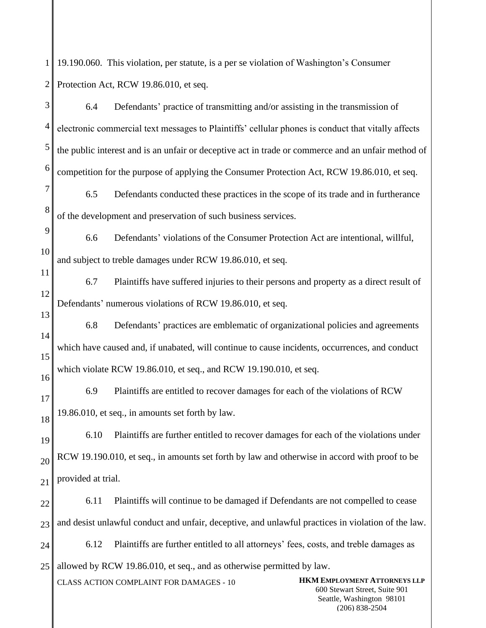1 19.190.060. This violation, per statute, is a per se violation of Washington's Consumer 2 Protection Act, RCW 19.86.010, et seq.

| 3        | 6.4                                                                                                | Defendants' practice of transmitting and/or assisting in the transmission of                       |                                                                                                                         |
|----------|----------------------------------------------------------------------------------------------------|----------------------------------------------------------------------------------------------------|-------------------------------------------------------------------------------------------------------------------------|
| 4        |                                                                                                    | electronic commercial text messages to Plaintiffs' cellular phones is conduct that vitally affects |                                                                                                                         |
| 5        |                                                                                                    | the public interest and is an unfair or deceptive act in trade or commerce and an unfair method of |                                                                                                                         |
| 6        |                                                                                                    | competition for the purpose of applying the Consumer Protection Act, RCW 19.86.010, et seq.        |                                                                                                                         |
| 7        | 6.5                                                                                                | Defendants conducted these practices in the scope of its trade and in furtherance                  |                                                                                                                         |
| 8        |                                                                                                    | of the development and preservation of such business services.                                     |                                                                                                                         |
| 9        | 6.6                                                                                                | Defendants' violations of the Consumer Protection Act are intentional, willful,                    |                                                                                                                         |
| 10       |                                                                                                    | and subject to treble damages under RCW 19.86.010, et seq.                                         |                                                                                                                         |
| 11       | 6.7                                                                                                | Plaintiffs have suffered injuries to their persons and property as a direct result of              |                                                                                                                         |
| 12       | Defendants' numerous violations of RCW 19.86.010, et seq.                                          |                                                                                                    |                                                                                                                         |
| 13       | 6.8                                                                                                | Defendants' practices are emblematic of organizational policies and agreements                     |                                                                                                                         |
| 14<br>15 | which have caused and, if unabated, will continue to cause incidents, occurrences, and conduct     |                                                                                                    |                                                                                                                         |
| 16       | which violate RCW 19.86.010, et seq., and RCW 19.190.010, et seq.                                  |                                                                                                    |                                                                                                                         |
| 17       | 6.9                                                                                                | Plaintiffs are entitled to recover damages for each of the violations of RCW                       |                                                                                                                         |
| 18       | 19.86.010, et seq., in amounts set forth by law.                                                   |                                                                                                    |                                                                                                                         |
| 19       | 6.10                                                                                               | Plaintiffs are further entitled to recover damages for each of the violations under                |                                                                                                                         |
| 20       |                                                                                                    | RCW 19.190.010, et seq., in amounts set forth by law and otherwise in accord with proof to be      |                                                                                                                         |
| 21       | provided at trial.                                                                                 |                                                                                                    |                                                                                                                         |
| 22       | 6.11                                                                                               | Plaintiffs will continue to be damaged if Defendants are not compelled to cease                    |                                                                                                                         |
| 23       | and desist unlawful conduct and unfair, deceptive, and unlawful practices in violation of the law. |                                                                                                    |                                                                                                                         |
| 24       | 6.12                                                                                               | Plaintiffs are further entitled to all attorneys' fees, costs, and treble damages as               |                                                                                                                         |
| 25       | allowed by RCW 19.86.010, et seq., and as otherwise permitted by law.                              |                                                                                                    |                                                                                                                         |
|          |                                                                                                    | CLASS ACTION COMPLAINT FOR DAMAGES - 10                                                            | <b>HKM EMPLOYMENT ATTORNEYS LLP</b><br>600 Stewart Street, Suite 901<br>Seattle, Washington 98101<br>$(206) 838 - 2504$ |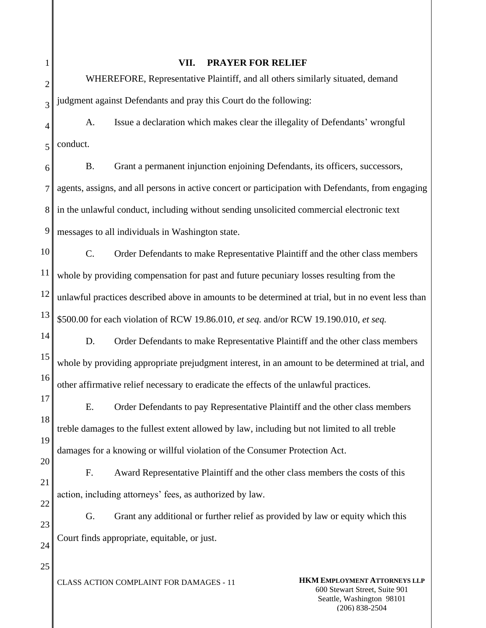| l              |
|----------------|
|                |
| $\overline{2}$ |
| 3              |
|                |

## **VII. PRAYER FOR RELIEF**

2 WHEREFORE, Representative Plaintiff, and all others similarly situated, demand judgment against Defendants and pray this Court do the following:

4 5 A. Issue a declaration which makes clear the illegality of Defendants' wrongful conduct.

6 7 8 9 B. Grant a permanent injunction enjoining Defendants, its officers, successors, agents, assigns, and all persons in active concert or participation with Defendants, from engaging in the unlawful conduct, including without sending unsolicited commercial electronic text messages to all individuals in Washington state.

10 11 12 13 C. Order Defendants to make Representative Plaintiff and the other class members whole by providing compensation for past and future pecuniary losses resulting from the unlawful practices described above in amounts to be determined at trial, but in no event less than \$500.00 for each violation of RCW 19.86.010, *et seq.* and/or RCW 19.190.010, *et seq.*

14 15 16 D. Order Defendants to make Representative Plaintiff and the other class members whole by providing appropriate prejudgment interest, in an amount to be determined at trial, and other affirmative relief necessary to eradicate the effects of the unlawful practices.

17 18 19 E. Order Defendants to pay Representative Plaintiff and the other class members treble damages to the fullest extent allowed by law, including but not limited to all treble damages for a knowing or willful violation of the Consumer Protection Act.

21 22 F. Award Representative Plaintiff and the other class members the costs of this action, including attorneys' fees, as authorized by law.

23 24 G. Grant any additional or further relief as provided by law or equity which this Court finds appropriate, equitable, or just.

25

20

CLASS ACTION COMPLAINT FOR DAMAGES - 11 **HKM EMPLOYMENT ATTORNEYS LLP**